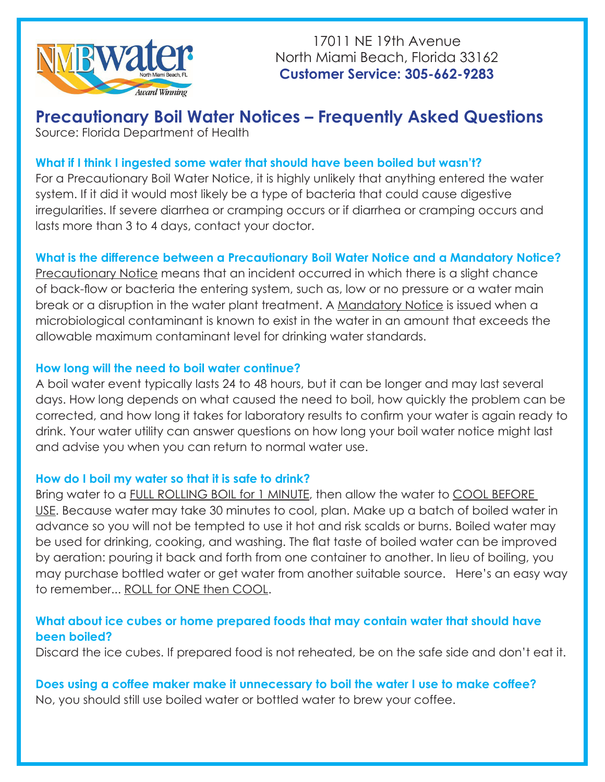

17011 NE 19th Avenue North Miami Beach, Florida 33162 **Customer Service: 305-662-9283**

# **Precautionary Boil Water Notices – Frequently Asked Questions**

Source: Florida Department of Health

# **What if I think I ingested some water that should have been boiled but wasn't?**

For a Precautionary Boil Water Notice, it is highly unlikely that anything entered the water system. If it did it would most likely be a type of bacteria that could cause digestive irregularities. If severe diarrhea or cramping occurs or if diarrhea or cramping occurs and lasts more than 3 to 4 days, contact your doctor.

# **What is the difference between a Precautionary Boil Water Notice and a Mandatory Notice?**

Precautionary Notice means that an incident occurred in which there is a slight chance of back-flow or bacteria the entering system, such as, low or no pressure or a water main break or a disruption in the water plant treatment. A Mandatory Notice is issued when a microbiological contaminant is known to exist in the water in an amount that exceeds the allowable maximum contaminant level for drinking water standards.

## **How long will the need to boil water continue?**

A boil water event typically lasts 24 to 48 hours, but it can be longer and may last several days. How long depends on what caused the need to boil, how quickly the problem can be corrected, and how long it takes for laboratory results to confirm your water is again ready to drink. Your water utility can answer questions on how long your boil water notice might last and advise you when you can return to normal water use.

## **How do I boil my water so that it is safe to drink?**

Bring water to a FULL ROLLING BOIL for 1 MINUTE, then allow the water to COOL BEFORE USE. Because water may take 30 minutes to cool, plan. Make up a batch of boiled water in advance so you will not be tempted to use it hot and risk scalds or burns. Boiled water may be used for drinking, cooking, and washing. The flat taste of boiled water can be improved by aeration: pouring it back and forth from one container to another. In lieu of boiling, you may purchase bottled water or get water from another suitable source. Here's an easy way to remember... ROLL for ONE then COOL.

# **What about ice cubes or home prepared foods that may contain water that should have been boiled?**

Discard the ice cubes. If prepared food is not reheated, be on the safe side and don't eat it.

**Does using a coffee maker make it unnecessary to boil the water I use to make coffee?** No, you should still use boiled water or bottled water to brew your coffee.